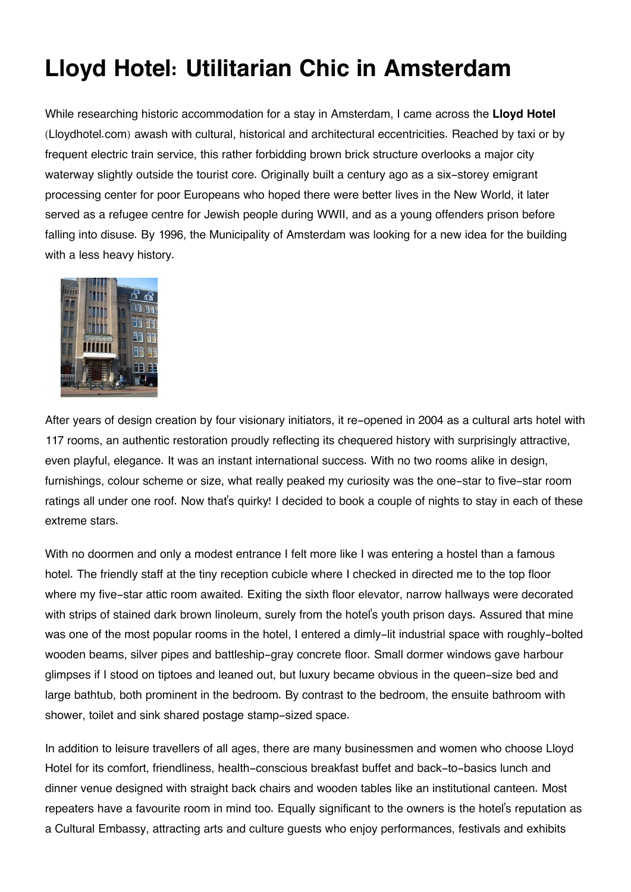## **Lloyd Hotel: Utilitarian Chic in Amsterdam**

While researching historic accommodation for a stay in Amsterdam, I came across the **Lloyd Hotel** (Lloydhotel.com) awash with cultural, historical and architectural eccentricities. Reached by taxi or by frequent electric train service, this rather forbidding brown brick structure overlooks a major city waterway slightly outside the tourist core. Originally built a century ago as a six-storey emigrant processing center for poor Europeans who hoped there were better lives in the New World, it later served as a refugee centre for Jewish people during WWII, and as a young offenders prison before falling into disuse. By 1996, the Municipality of Amsterdam was looking for a new idea for the building with a less heavy history.



After years of design creation by four visionary initiators, it re-opened in 2004 as a cultural arts hotel with 117 rooms, an authentic restoration proudly reflecting its chequered history with surprisingly attractive, even playful, elegance. It was an instant international success. With no two rooms alike in design, furnishings, colour scheme or size, what really peaked my curiosity was the one-star to five-star room ratings all under one roof. Now that's quirky! I decided to book a couple of nights to stay in each of these extreme stars.

With no doormen and only a modest entrance I felt more like I was entering a hostel than a famous hotel. The friendly staff at the tiny reception cubicle where I checked in directed me to the top floor where my five-star attic room awaited. Exiting the sixth floor elevator, narrow hallways were decorated with strips of stained dark brown linoleum, surely from the hotel's youth prison days. Assured that mine was one of the most popular rooms in the hotel, I entered a dimly-lit industrial space with roughly-bolted wooden beams, silver pipes and battleship-gray concrete floor. Small dormer windows gave harbour glimpses if I stood on tiptoes and leaned out, but luxury became obvious in the queen-size bed and large bathtub, both prominent in the bedroom. By contrast to the bedroom, the ensuite bathroom with shower, toilet and sink shared postage stamp-sized space.

In addition to leisure travellers of all ages, there are many businessmen and women who choose Lloyd Hotel for its comfort, friendliness, health-conscious breakfast buffet and back-to-basics lunch and dinner venue designed with straight back chairs and wooden tables like an institutional canteen. Most repeaters have a favourite room in mind too. Equally significant to the owners is the hotel's reputation as a Cultural Embassy, attracting arts and culture guests who enjoy performances, festivals and exhibits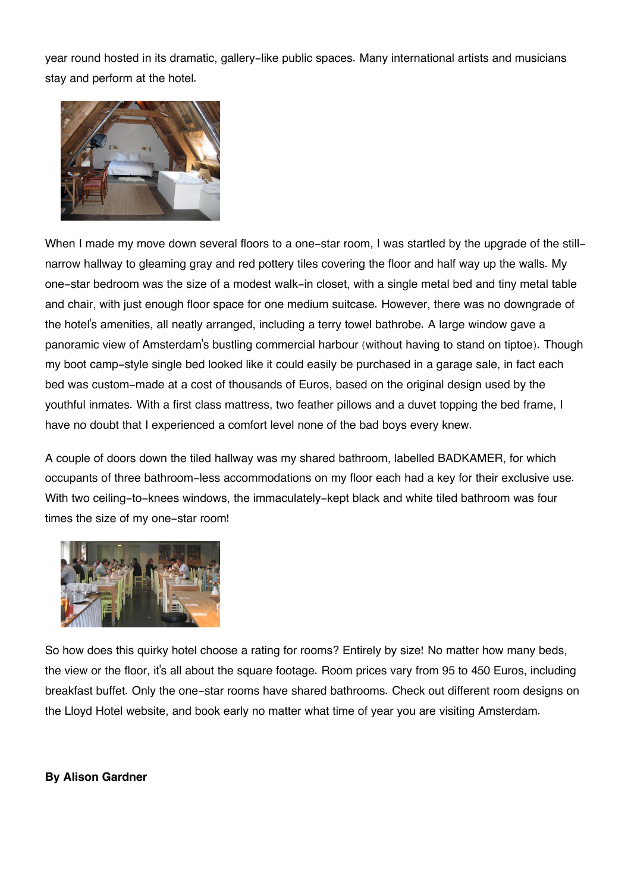year round hosted in its dramatic, gallery-like public spaces. Many international artists and musicians stay and perform at the hotel.



When I made my move down several floors to a one-star room, I was startled by the upgrade of the stillnarrow hallway to gleaming gray and red pottery tiles covering the floor and half way up the walls. My one-star bedroom was the size of a modest walk-in closet, with a single metal bed and tiny metal table and chair, with just enough floor space for one medium suitcase. However, there was no downgrade of the hotel's amenities, all neatly arranged, including a terry towel bathrobe. A large window gave a panoramic view of Amsterdam's bustling commercial harbour (without having to stand on tiptoe). Though my boot camp-style single bed looked like it could easily be purchased in a garage sale, in fact each bed was custom-made at a cost of thousands of Euros, based on the original design used by the youthful inmates. With a first class mattress, two feather pillows and a duvet topping the bed frame, I have no doubt that I experienced a comfort level none of the bad boys every knew.

A couple of doors down the tiled hallway was my shared bathroom, labelled BADKAMER, for which occupants of three bathroom-less accommodations on my floor each had a key for their exclusive use. With two ceiling-to-knees windows, the immaculately-kept black and white tiled bathroom was four times the size of my one-star room!



So how does this quirky hotel choose a rating for rooms? Entirely by size! No matter how many beds, the view or the floor, it's all about the square footage. Room prices vary from 95 to 450 Euros, including breakfast buffet. Only the one-star rooms have shared bathrooms. Check out different room designs on the Lloyd Hotel website, and book early no matter what time of year you are visiting Amsterdam.

## **By Alison Gardner**